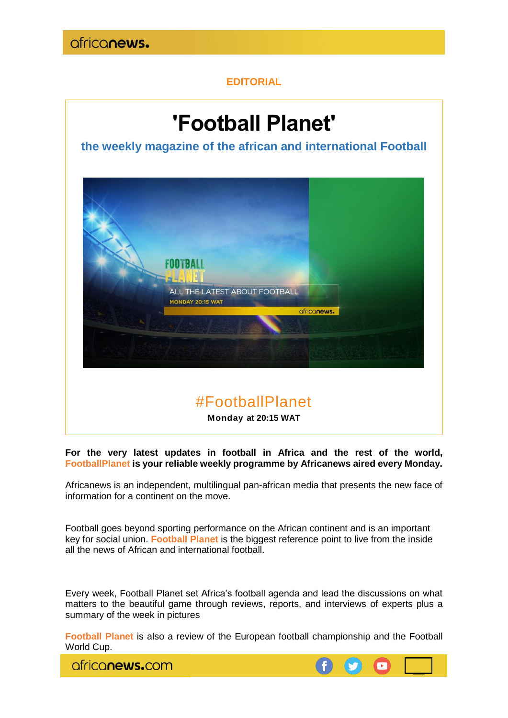### **EDITORIAL**

# **'Football Planet'**

**the weekly magazine of the african and international Football**



## #FootballPlanet

**Monday at 20:15 WAT** 

**For the very latest updates in football in Africa and the rest of the world, FootballPlanet is your reliable weekly programme by Africanews aired every Monday.**

Africanews is an independent, multilingual pan-african media that presents the new face of information for a continent on the move.

Football goes beyond sporting performance on the African continent and is an important key for social union. **Football Planet** is the biggest reference point to live from the inside all the news of African and international football.

Every week, Football Planet set Africa's football agenda and lead the discussions on what matters to the beautiful game through reviews, reports, and interviews of experts plus a summary of the week in pictures

**Football Planet** is also a review of the European football championship and the Football World Cup.

africanews.com

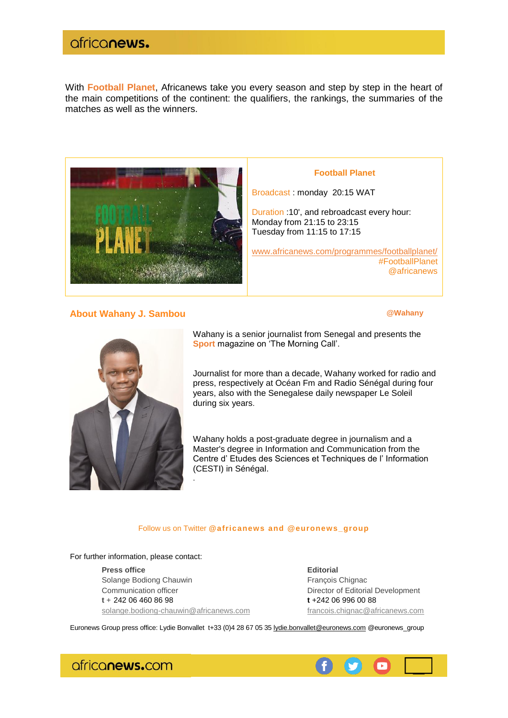### africanews.

With **Football Planet**, Africanews take you every season and step by step in the heart of the main competitions of the continent: the qualifiers, the rankings, the summaries of the matches as well as the winners.



**About Wahany J. Sambou Contract Contract Contract Contract Contract Contract Contract Contract Contract Contract Contract Contract Contract Contract Contract Contract Contract Contract Contract Contract Contract Contrac** 

[#F](https://twitter.com/hashtag/TheMorningCall?src=hash)ootballPlanet [@africanews](https://twitter.com/africanewsfr)



Wahany is a senior journalist from Senegal and presents the **Sport** magazine on 'The Morning Call'.

**Football Planet**

Journalist for more than a decade, Wahany worked for radio and press, respectively at Océan Fm and Radio Sénégal during four years, also with the Senegalese daily newspaper Le Soleil during six years.

Wahany holds a post-graduate degree in journalism and a Master's degree in Information and Communication from the Centre d' Etudes des Sciences et Techniques de l' Information (CESTI) in Sénégal.

#### Follow us on Twitter **[@africanews](https://twitter.com/africanews) and @euronews\_group**

For further information, please contact:

**Press office Editorial** Solange Bodiong Chauwin François Chignac Communication officer **Director of Editorial Development t** + 242 06 460 86 98 **t** +242 06 996 00 88 [solange.bodiong-chauwin@africanews.com](mailto:solange.bodiong-chauwin@africanews.com) [francois.chignac@africanews.com](mailto:francois.chignac@africanews.com)

.

Euronews Group press office: Lydie Bonvallet t+33 (0)4 28 67 05 3[5 lydie.bonvallet@euronews.com](mailto:lydie.bonvallet@euronews.com) [@euronews\\_group](https://twitter.com/euronews_group)

africanews.com